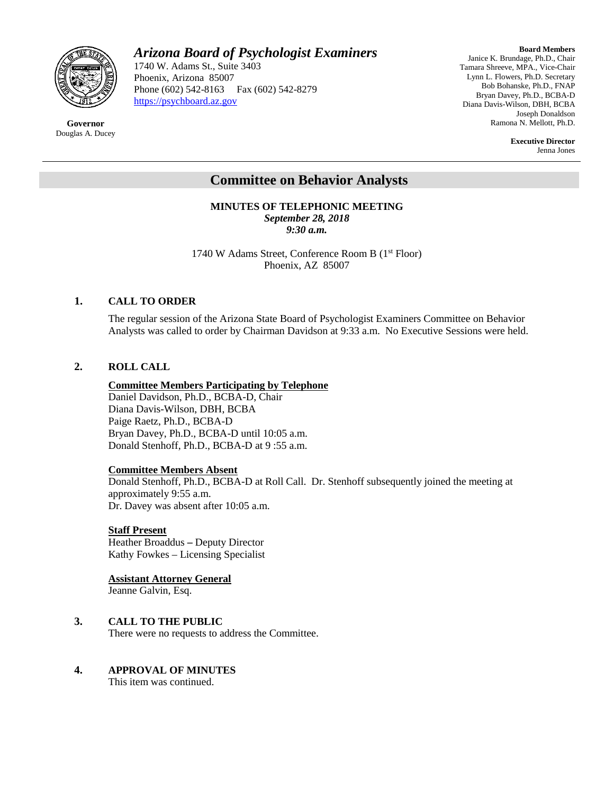

**Governor** Douglas A. Ducey

# *Arizona Board of Psychologist Examiners*

1740 W. Adams St., Suite 3403 Phoenix, Arizona 85007 Phone (602) 542-8163 Fax (602) 542-8279 [https://psychboard.az.gov](https://psychboard.az.gov/) 

**Board Members** Janice K. Brundage, Ph.D., Chair Tamara Shreeve, MPA., Vice-Chair Lynn L. Flowers, Ph.D. Secretary Bob Bohanske, Ph.D., FNAP Bryan Davey, Ph.D., BCBA-D Diana Davis-Wilson, DBH, BCBA Joseph Donaldson Ramona N. Mellott, Ph.D.

> **Executive Director** Jenna Jones

# **Committee on Behavior Analysts**

**MINUTES OF TELEPHONIC MEETING** *September 28, 2018 9:30 a.m.*

1740 W Adams Street, Conference Room B (1st Floor) Phoenix, AZ 85007

#### **1. CALL TO ORDER**

The regular session of the Arizona State Board of Psychologist Examiners Committee on Behavior Analysts was called to order by Chairman Davidson at 9:33 a.m. No Executive Sessions were held.

### **2. ROLL CALL**

#### **Committee Members Participating by Telephone**

Daniel Davidson, Ph.D., BCBA-D, Chair Diana Davis-Wilson, DBH, BCBA Paige Raetz, Ph.D., BCBA-D Bryan Davey, Ph.D., BCBA-D until 10:05 a.m. Donald Stenhoff, Ph.D., BCBA-D at 9 :55 a.m.

#### **Committee Members Absent**

Donald Stenhoff, Ph.D., BCBA-D at Roll Call. Dr. Stenhoff subsequently joined the meeting at approximately 9:55 a.m. Dr. Davey was absent after 10:05 a.m.

#### **Staff Present**

Heather Broaddus **–** Deputy Director Kathy Fowkes – Licensing Specialist

# **Assistant Attorney General**

Jeanne Galvin, Esq.

# **3. CALL TO THE PUBLIC**

There were no requests to address the Committee.

# **4. APPROVAL OF MINUTES**

This item was continued.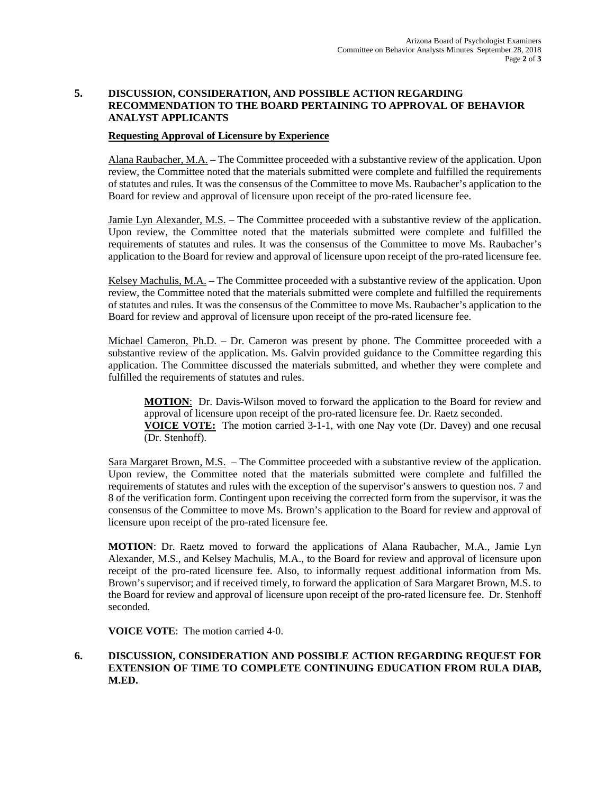# **5. DISCUSSION, CONSIDERATION, AND POSSIBLE ACTION REGARDING RECOMMENDATION TO THE BOARD PERTAINING TO APPROVAL OF BEHAVIOR ANALYST APPLICANTS**

### **Requesting Approval of Licensure by Experience**

Alana Raubacher, M.A. – The Committee proceeded with a substantive review of the application. Upon review, the Committee noted that the materials submitted were complete and fulfilled the requirements of statutes and rules. It was the consensus of the Committee to move Ms. Raubacher's application to the Board for review and approval of licensure upon receipt of the pro-rated licensure fee.

Jamie Lyn Alexander, M.S. - The Committee proceeded with a substantive review of the application. Upon review, the Committee noted that the materials submitted were complete and fulfilled the requirements of statutes and rules. It was the consensus of the Committee to move Ms. Raubacher's application to the Board for review and approval of licensure upon receipt of the pro-rated licensure fee.

Kelsey Machulis, M.A. – The Committee proceeded with a substantive review of the application. Upon review, the Committee noted that the materials submitted were complete and fulfilled the requirements of statutes and rules. It was the consensus of the Committee to move Ms. Raubacher's application to the Board for review and approval of licensure upon receipt of the pro-rated licensure fee.

Michael Cameron, Ph.D. - Dr. Cameron was present by phone. The Committee proceeded with a substantive review of the application. Ms. Galvin provided guidance to the Committee regarding this application. The Committee discussed the materials submitted, and whether they were complete and fulfilled the requirements of statutes and rules.

**MOTION**: Dr. Davis-Wilson moved to forward the application to the Board for review and approval of licensure upon receipt of the pro-rated licensure fee. Dr. Raetz seconded. **VOICE VOTE:** The motion carried 3-1-1, with one Nay vote (Dr. Davey) and one recusal (Dr. Stenhoff).

Sara Margaret Brown, M.S. – The Committee proceeded with a substantive review of the application. Upon review, the Committee noted that the materials submitted were complete and fulfilled the requirements of statutes and rules with the exception of the supervisor's answers to question nos. 7 and 8 of the verification form. Contingent upon receiving the corrected form from the supervisor, it was the consensus of the Committee to move Ms. Brown's application to the Board for review and approval of licensure upon receipt of the pro-rated licensure fee.

**MOTION**: Dr. Raetz moved to forward the applications of Alana Raubacher, M.A., Jamie Lyn Alexander, M.S., and Kelsey Machulis, M.A., to the Board for review and approval of licensure upon receipt of the pro-rated licensure fee. Also, to informally request additional information from Ms. Brown's supervisor; and if received timely, to forward the application of Sara Margaret Brown, M.S. to the Board for review and approval of licensure upon receipt of the pro-rated licensure fee. Dr. Stenhoff seconded.

**VOICE VOTE**: The motion carried 4-0.

### **6. DISCUSSION, CONSIDERATION AND POSSIBLE ACTION REGARDING REQUEST FOR EXTENSION OF TIME TO COMPLETE CONTINUING EDUCATION FROM RULA DIAB, M.ED.**